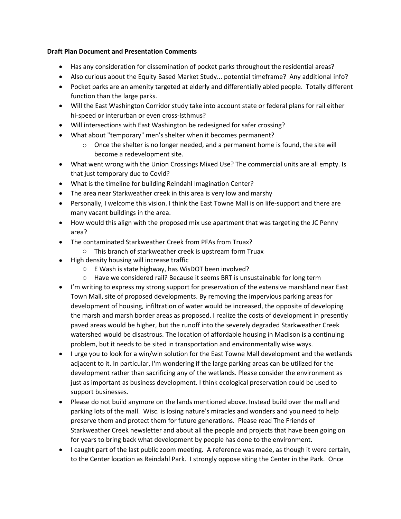## **Draft Plan Document and Presentation Comments**

- Has any consideration for dissemination of pocket parks throughout the residential areas?
- Also curious about the Equity Based Market Study... potential timeframe? Any additional info?
- Pocket parks are an amenity targeted at elderly and differentially abled people. Totally different function than the large parks.
- Will the East Washington Corridor study take into account state or federal plans for rail either hi-speed or interurban or even cross-Isthmus?
- Will intersections with East Washington be redesigned for safer crossing?
- What about "temporary" men's shelter when it becomes permanent?
	- $\circ$  Once the shelter is no longer needed, and a permanent home is found, the site will become a redevelopment site.
- What went wrong with the Union Crossings Mixed Use? The commercial units are all empty. Is that just temporary due to Covid?
- What is the timeline for building Reindahl Imagination Center?
- The area near Starkweather creek in this area is very low and marshy
- Personally, I welcome this vision. I think the East Towne Mall is on life-support and there are many vacant buildings in the area.
- How would this align with the proposed mix use apartment that was targeting the JC Penny area?
- The contaminated Starkweather Creek from PFAs from Truax?
	- o This branch of starkweather creek is upstream form Truax
- High density housing will increase traffic
	- o E Wash is state highway, has WisDOT been involved?
	- o Have we considered rail? Because it seems BRT is unsustainable for long term
- I'm writing to express my strong support for preservation of the extensive marshland near East Town Mall, site of proposed developments. By removing the impervious parking areas for development of housing, infiltration of water would be increased, the opposite of developing the marsh and marsh border areas as proposed. I realize the costs of development in presently paved areas would be higher, but the runoff into the severely degraded Starkweather Creek watershed would be disastrous. The location of affordable housing in Madison is a continuing problem, but it needs to be sited in transportation and environmentally wise ways.
- I urge you to look for a win/win solution for the East Towne Mall development and the wetlands adjacent to it. In particular, I'm wondering if the large parking areas can be utilized for the development rather than sacrificing any of the wetlands. Please consider the environment as just as important as business development. I think ecological preservation could be used to support businesses.
- Please do not build anymore on the lands mentioned above. Instead build over the mall and parking lots of the mall. Wisc. is losing nature's miracles and wonders and you need to help preserve them and protect them for future generations. Please read The Friends of Starkweather Creek newsletter and about all the people and projects that have been going on for years to bring back what development by people has done to the environment.
- I caught part of the last public zoom meeting. A reference was made, as though it were certain, to the Center location as Reindahl Park. I strongly oppose siting the Center in the Park. Once